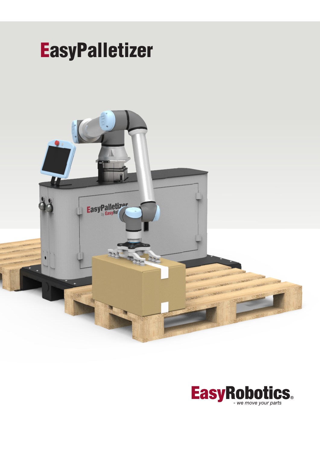

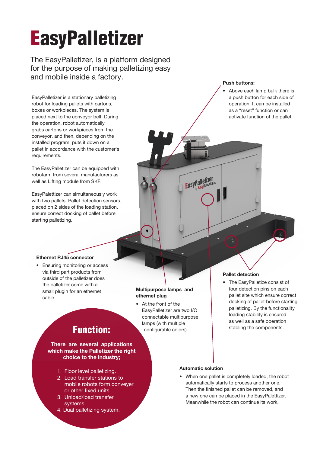# **EasyPalletizer**

The EasyPalletizer, is a platform designed for the purpose of making palletizing easy and mobile inside a factory.

EasyPalletizer is a stationary palletizing robot for loading pallets with cartons, boxes or workpieces. The system is placed next to the conveyor belt. During the operation, robot automatically grabs cartons or workpieces from the conveyor, and then, depending on the installed program, puts it down on a pallet in accordance with the customer's requirements.

The EasyPalletizer can be equipped with robotarm from several manufacturers as well as Lifting module from SKF.

EasyPalettizer can simultaneously work with two pallets. Pallet detection sensors, placed on 2 sides of the loading station, ensure correct docking of pallet before starting palletizing.

#### Push buttons:

• Above each lamp bulk there is a push button for each side of operation. It can be installed as a "reset" function or can activate function of the pallet.

#### Ethernet RJ45 connector

• Ensuring monitoring or access via third part products from outside of the palletizer does the palletizer come with a small plugin for an ethernet cable.

#### Multipurpose lamps and ethernet plug

 $\bullet$ 

• At the front of the EasyPalletizer are two I/O connectable multipurpose lamps (with multiple configurable colors).

#### Pallet detection

• The EasyPalletize consist of four detection pins on each pallet site which ensure correct docking of pallet before starting palletizing. By the functionality loading stability is ensured as well as a safe operation stabling the components.

## Function:

There are several applications which make the Palletizer the right choice to the industry;

- 1. Floor level palletizing.
- 2. Load transfer stations to mobile robots form conveyer or other fixed units.
- 3. Unload/load transfer systems.
- 4. Dual palletizing system.

#### Automatic solution

EasyPalletizer

• When one pallet is completely loaded, the robot automatically starts to process another one. Then the finished pallet can be removed, and a new one can be placed in the EasyPalettizer. Meanwhile the robot can continue its work.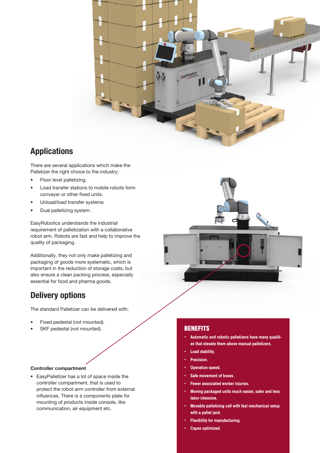

### **Applications**

There are several applications which make the Palletizer the right choice to the industry;

- Floor level palletizing,
- Load transfer stations to mobile robots form conveyer or other fixed units.
- Unload/load transfer systems
- Dual palletizing system.

EasyRobotics understands the industrial requirement of palletization with a collaborative robot arm. Robots are fast and help to improve the quality of packaging.

Additionally, they not only make palletizing and packaging of goods more systematic, which is important in the reduction of storage costs, but also ensure a clean packing process, especially essential for food and pharma goods.

## **Delivery options**

The standard Palletizer can be delivered with:

- Fixed pedestal (not mounted).
- SKF pedestal (not mounted).

#### Controller compartment

• EasyPalletizer has a lot of space inside the controller compartment, that is used to protect the robot-arm controller from external influences. There is a components plate for mounting of products inside console, like communication, air equipment etc.



#### **BENEFITS**

- Automatic and robotic palletizers have many qualities that elevate them above manual palletizers.
- Load stability.
- **Precision.**
- Operation speed.
- Safe movement of boxes.
- Fewer associated worker injuries.
- Moving packaged units much easier, safer and less labor intensive.
- Movable palletizing cell with fast mechanical setup with a pallet jack.
- **Flexibility for manufacturing.**
- Capex optimized.